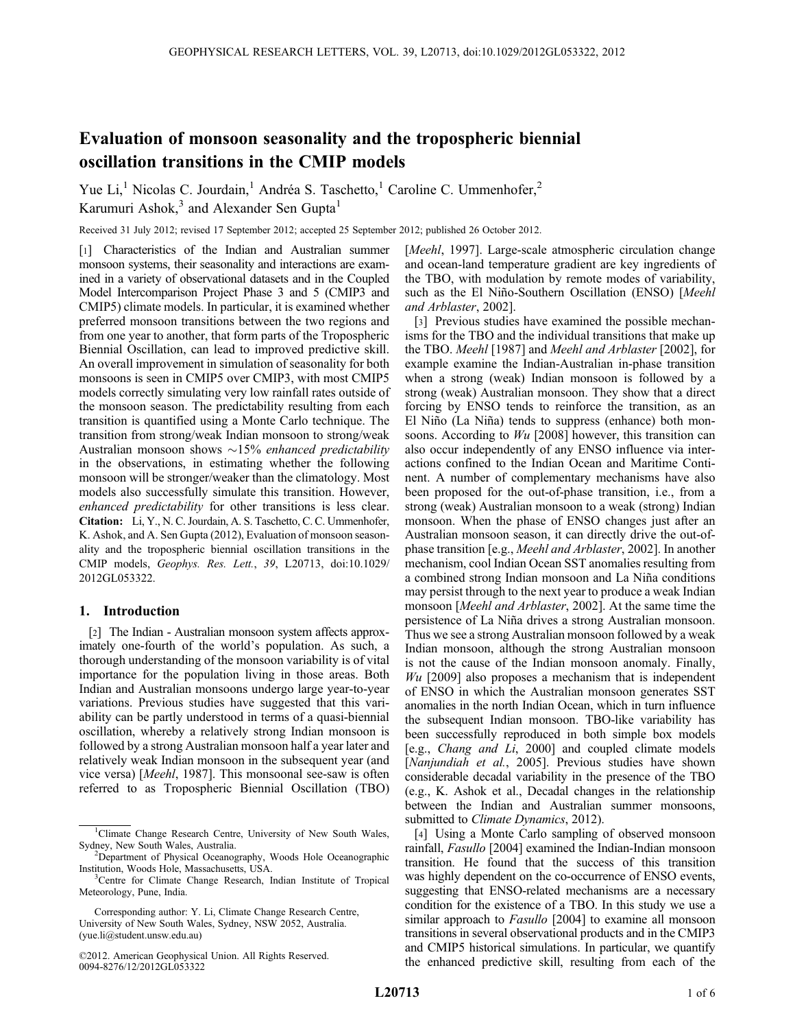# Evaluation of monsoon seasonality and the tropospheric biennial oscillation transitions in the CMIP models

Yue Li,<sup>1</sup> Nicolas C. Jourdain,<sup>1</sup> Andréa S. Taschetto,<sup>1</sup> Caroline C. Ummenhofer,<sup>2</sup> Karumuri Ashok,<sup>3</sup> and Alexander Sen Gupta<sup>1</sup>

Received 31 July 2012; revised 17 September 2012; accepted 25 September 2012; published 26 October 2012.

[1] Characteristics of the Indian and Australian summer monsoon systems, their seasonality and interactions are examined in a variety of observational datasets and in the Coupled Model Intercomparison Project Phase 3 and 5 (CMIP3 and CMIP5) climate models. In particular, it is examined whether preferred monsoon transitions between the two regions and from one year to another, that form parts of the Tropospheric Biennial Oscillation, can lead to improved predictive skill. An overall improvement in simulation of seasonality for both monsoons is seen in CMIP5 over CMIP3, with most CMIP5 models correctly simulating very low rainfall rates outside of the monsoon season. The predictability resulting from each transition is quantified using a Monte Carlo technique. The transition from strong/weak Indian monsoon to strong/weak Australian monsoon shows  $\sim$ 15% enhanced predictability in the observations, in estimating whether the following monsoon will be stronger/weaker than the climatology. Most models also successfully simulate this transition. However, enhanced predictability for other transitions is less clear. Citation: Li, Y., N. C. Jourdain, A. S. Taschetto, C. C. Ummenhofer, K. Ashok, and A. Sen Gupta (2012), Evaluation of monsoon seasonality and the tropospheric biennial oscillation transitions in the CMIP models, Geophys. Res. Lett., 39, L20713, doi:10.1029/ 2012GL053322.

# 1. Introduction

[2] The Indian - Australian monsoon system affects approximately one-fourth of the world's population. As such, a thorough understanding of the monsoon variability is of vital importance for the population living in those areas. Both Indian and Australian monsoons undergo large year-to-year variations. Previous studies have suggested that this variability can be partly understood in terms of a quasi-biennial oscillation, whereby a relatively strong Indian monsoon is followed by a strong Australian monsoon half a year later and relatively weak Indian monsoon in the subsequent year (and vice versa) [Meehl, 1987]. This monsoonal see-saw is often referred to as Tropospheric Biennial Oscillation (TBO) [*Meehl*, 1997]. Large-scale atmospheric circulation change and ocean-land temperature gradient are key ingredients of the TBO, with modulation by remote modes of variability, such as the El Niño-Southern Oscillation (ENSO) [Meehl and Arblaster, 2002].

[3] Previous studies have examined the possible mechanisms for the TBO and the individual transitions that make up the TBO. Meehl [1987] and Meehl and Arblaster [2002], for example examine the Indian-Australian in-phase transition when a strong (weak) Indian monsoon is followed by a strong (weak) Australian monsoon. They show that a direct forcing by ENSO tends to reinforce the transition, as an El Niño (La Niña) tends to suppress (enhance) both monsoons. According to  $Wu$  [2008] however, this transition can also occur independently of any ENSO influence via interactions confined to the Indian Ocean and Maritime Continent. A number of complementary mechanisms have also been proposed for the out-of-phase transition, i.e., from a strong (weak) Australian monsoon to a weak (strong) Indian monsoon. When the phase of ENSO changes just after an Australian monsoon season, it can directly drive the out-ofphase transition [e.g., Meehl and Arblaster, 2002]. In another mechanism, cool Indian Ocean SST anomalies resulting from a combined strong Indian monsoon and La Niña conditions may persist through to the next year to produce a weak Indian monsoon [Meehl and Arblaster, 2002]. At the same time the persistence of La Niña drives a strong Australian monsoon. Thus we see a strong Australian monsoon followed by a weak Indian monsoon, although the strong Australian monsoon is not the cause of the Indian monsoon anomaly. Finally,  $Wu$  [2009] also proposes a mechanism that is independent of ENSO in which the Australian monsoon generates SST anomalies in the north Indian Ocean, which in turn influence the subsequent Indian monsoon. TBO-like variability has been successfully reproduced in both simple box models [e.g., Chang and Li, 2000] and coupled climate models [Nanjundiah et al., 2005]. Previous studies have shown considerable decadal variability in the presence of the TBO (e.g., K. Ashok et al., Decadal changes in the relationship between the Indian and Australian summer monsoons, submitted to *Climate Dynamics*, 2012).

[4] Using a Monte Carlo sampling of observed monsoon rainfall, Fasullo [2004] examined the Indian-Indian monsoon transition. He found that the success of this transition was highly dependent on the co-occurrence of ENSO events, suggesting that ENSO-related mechanisms are a necessary condition for the existence of a TBO. In this study we use a similar approach to *Fasullo* [2004] to examine all monsoon transitions in several observational products and in the CMIP3 and CMIP5 historical simulations. In particular, we quantify the enhanced predictive skill, resulting from each of the

<sup>&</sup>lt;sup>1</sup>Climate Change Research Centre, University of New South Wales, Sydney, New South Wales, Australia. <sup>2</sup>

 $2$ Department of Physical Oceanography, Woods Hole Oceanographic Institution, Woods Hole, Massachusetts, USA. <sup>3</sup>

<sup>&</sup>lt;sup>3</sup>Centre for Climate Change Research, Indian Institute of Tropical Meteorology, Pune, India.

Corresponding author: Y. Li, Climate Change Research Centre, University of New South Wales, Sydney, NSW 2052, Australia. (yue.li@student.unsw.edu.au)

<sup>©2012.</sup> American Geophysical Union. All Rights Reserved. 0094-8276/12/2012GL053322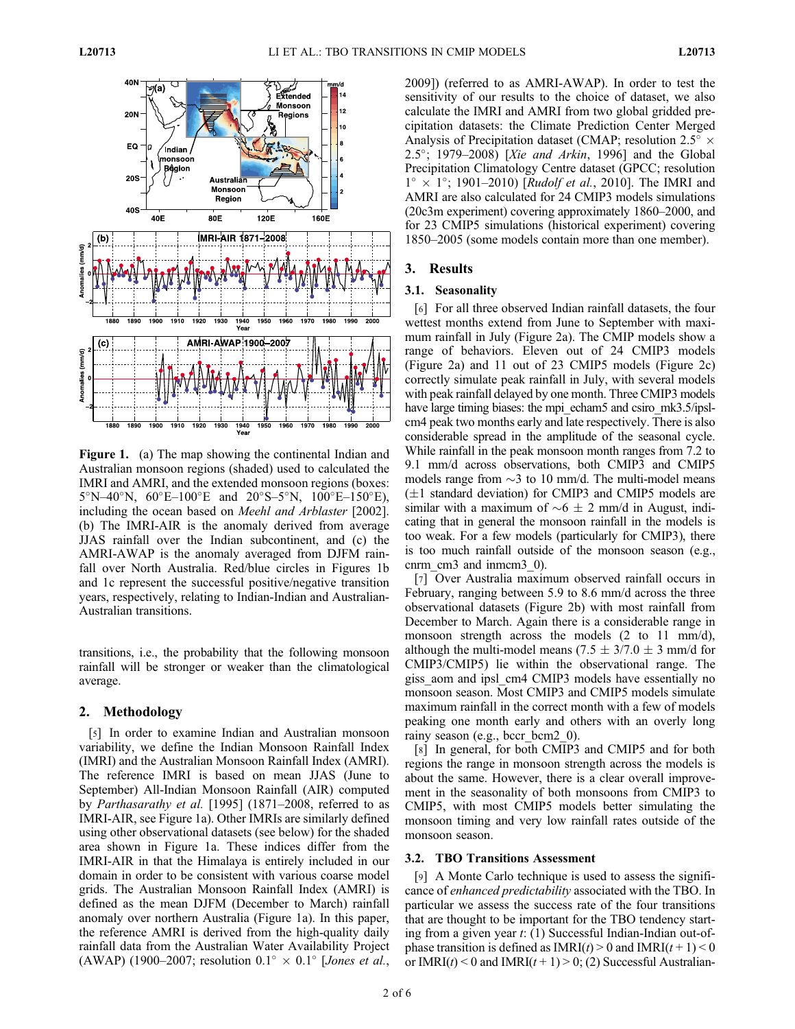

Figure 1. (a) The map showing the continental Indian and Australian monsoon regions (shaded) used to calculated the IMRI and AMRI, and the extended monsoon regions (boxes:  $5^{\circ}$ N–40°N,  $60^{\circ}$ E–100°E and  $20^{\circ}$ S–5°N,  $100^{\circ}$ E–150°E), including the ocean based on Meehl and Arblaster [2002]. (b) The IMRI-AIR is the anomaly derived from average JJAS rainfall over the Indian subcontinent, and (c) the AMRI-AWAP is the anomaly averaged from DJFM rainfall over North Australia. Red/blue circles in Figures 1b and 1c represent the successful positive/negative transition years, respectively, relating to Indian-Indian and Australian-Australian transitions.

transitions, i.e., the probability that the following monsoon rainfall will be stronger or weaker than the climatological average.

## 2. Methodology

[5] In order to examine Indian and Australian monsoon variability, we define the Indian Monsoon Rainfall Index (IMRI) and the Australian Monsoon Rainfall Index (AMRI). The reference IMRI is based on mean JJAS (June to September) All-Indian Monsoon Rainfall (AIR) computed by Parthasarathy et al. [1995] (1871–2008, referred to as IMRI-AIR, see Figure 1a). Other IMRIs are similarly defined using other observational datasets (see below) for the shaded area shown in Figure 1a. These indices differ from the IMRI-AIR in that the Himalaya is entirely included in our domain in order to be consistent with various coarse model grids. The Australian Monsoon Rainfall Index (AMRI) is defined as the mean DJFM (December to March) rainfall anomaly over northern Australia (Figure 1a). In this paper, the reference AMRI is derived from the high-quality daily rainfall data from the Australian Water Availability Project (AWAP) (1900–2007; resolution  $0.1^{\circ} \times 0.1^{\circ}$  [Jones et al.,

2009]) (referred to as AMRI-AWAP). In order to test the sensitivity of our results to the choice of dataset, we also calculate the IMRI and AMRI from two global gridded precipitation datasets: the Climate Prediction Center Merged Analysis of Precipitation dataset (CMAP; resolution  $2.5^{\circ} \times$ 2.5°; 1979–2008) [Xie and Arkin, 1996] and the Global Precipitation Climatology Centre dataset (GPCC; resolution  $1^{\circ} \times 1^{\circ}$ ; 1901–2010) [*Rudolf et al.*, 2010]. The IMRI and AMRI are also calculated for 24 CMIP3 models simulations (20c3m experiment) covering approximately 1860–2000, and for 23 CMIP5 simulations (historical experiment) covering 1850–2005 (some models contain more than one member).

## 3. Results

#### 3.1. Seasonality

[6] For all three observed Indian rainfall datasets, the four wettest months extend from June to September with maximum rainfall in July (Figure 2a). The CMIP models show a range of behaviors. Eleven out of 24 CMIP3 models (Figure 2a) and 11 out of 23 CMIP5 models (Figure 2c) correctly simulate peak rainfall in July, with several models with peak rainfall delayed by one month. Three CMIP3 models have large timing biases: the mpi\_echam5 and csiro\_mk3.5/ipslcm4 peak two months early and late respectively. There is also considerable spread in the amplitude of the seasonal cycle. While rainfall in the peak monsoon month ranges from 7.2 to 9.1 mm/d across observations, both CMIP3 and CMIP5 models range from  $\sim$ 3 to 10 mm/d. The multi-model means  $(\pm 1$  standard deviation) for CMIP3 and CMIP5 models are similar with a maximum of  $\sim 6 \pm 2$  mm/d in August, indicating that in general the monsoon rainfall in the models is too weak. For a few models (particularly for CMIP3), there is too much rainfall outside of the monsoon season (e.g., cnrm cm3 and inmcm3 0).

[7] Over Australia maximum observed rainfall occurs in February, ranging between 5.9 to 8.6 mm/d across the three observational datasets (Figure 2b) with most rainfall from December to March. Again there is a considerable range in monsoon strength across the models (2 to 11 mm/d), although the multi-model means (7.5  $\pm$  3/7.0  $\pm$  3 mm/d for CMIP3/CMIP5) lie within the observational range. The giss aom and ipsl cm4 CMIP3 models have essentially no monsoon season. Most CMIP3 and CMIP5 models simulate maximum rainfall in the correct month with a few of models peaking one month early and others with an overly long rainy season (e.g., bccr\_bcm2\_0).

[8] In general, for both CMIP3 and CMIP5 and for both regions the range in monsoon strength across the models is about the same. However, there is a clear overall improvement in the seasonality of both monsoons from CMIP3 to CMIP5, with most CMIP5 models better simulating the monsoon timing and very low rainfall rates outside of the monsoon season.

# 3.2. TBO Transitions Assessment

[9] A Monte Carlo technique is used to assess the significance of enhanced predictability associated with the TBO. In particular we assess the success rate of the four transitions that are thought to be important for the TBO tendency starting from a given year t: (1) Successful Indian-Indian out-ofphase transition is defined as  $IMRI(t) > 0$  and  $IMRI(t+1) < 0$ or IMRI( $t$ ) < 0 and IMRI( $t$  + 1) > 0; (2) Successful Australian-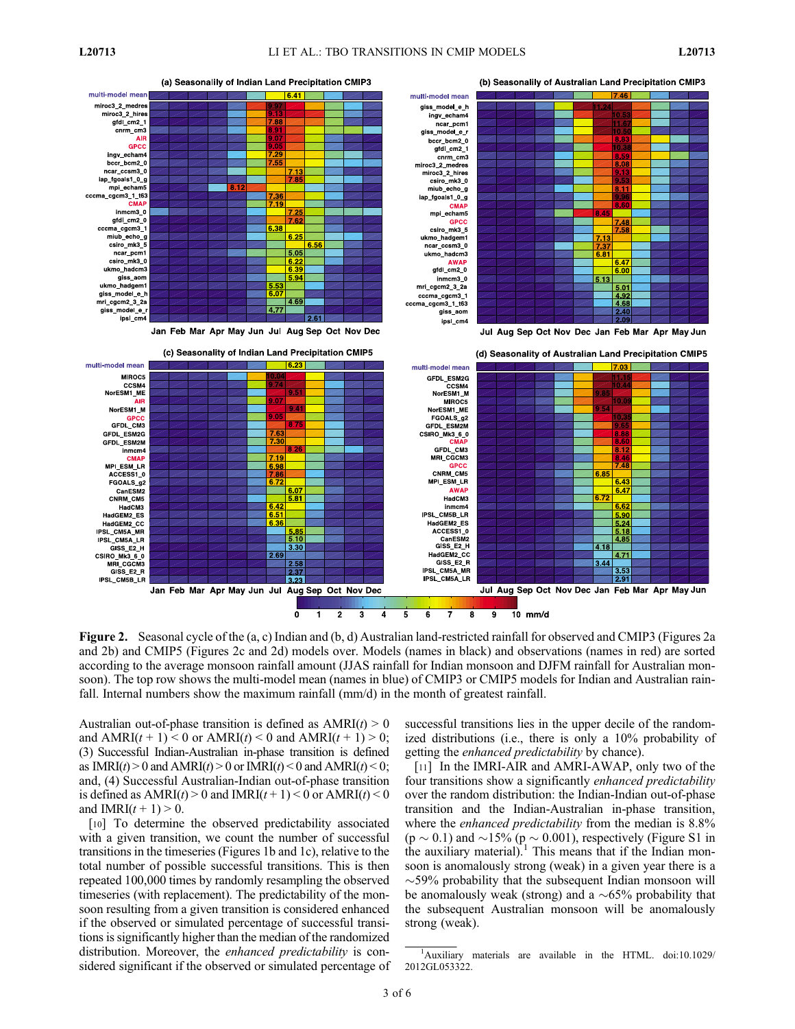

Figure 2. Seasonal cycle of the (a, c) Indian and (b, d) Australian land-restricted rainfall for observed and CMIP3 (Figures 2a and 2b) and CMIP5 (Figures 2c and 2d) models over. Models (names in black) and observations (names in red) are sorted according to the average monsoon rainfall amount (JJAS rainfall for Indian monsoon and DJFM rainfall for Australian monsoon). The top row shows the multi-model mean (names in blue) of CMIP3 or CMIP5 models for Indian and Australian rainfall. Internal numbers show the maximum rainfall (mm/d) in the month of greatest rainfall.

Australian out-of-phase transition is defined as  $AMRI(t) > 0$ and  $AMRI(t + 1) < 0$  or  $AMRI(t) < 0$  and  $AMRI(t + 1) > 0$ ; (3) Successful Indian-Australian in-phase transition is defined as  $IMRI(t) > 0$  and  $AMRI(t) > 0$  or  $IMRI(t) < 0$  and  $AMRI(t) < 0$ ; and, (4) Successful Australian-Indian out-of-phase transition is defined as  $AMRI(t) > 0$  and  $IMRI(t+1) < 0$  or  $AMRI(t) < 0$ and  $IMRI(t + 1) > 0$ .

[10] To determine the observed predictability associated with a given transition, we count the number of successful transitions in the timeseries (Figures 1b and 1c), relative to the total number of possible successful transitions. This is then repeated 100,000 times by randomly resampling the observed timeseries (with replacement). The predictability of the monsoon resulting from a given transition is considered enhanced if the observed or simulated percentage of successful transitions is significantly higher than the median of the randomized distribution. Moreover, the *enhanced predictability* is considered significant if the observed or simulated percentage of successful transitions lies in the upper decile of the randomized distributions (i.e., there is only a 10% probability of getting the enhanced predictability by chance).

[11] In the IMRI-AIR and AMRI-AWAP, only two of the four transitions show a significantly enhanced predictability over the random distribution: the Indian-Indian out-of-phase transition and the Indian-Australian in-phase transition, where the *enhanced predictability* from the median is 8.8%  $(p \sim 0.1)$  and  $\sim$ 15% (p  $\sim$  0.001), respectively (Figure S1 in the auxiliary material).<sup>1</sup> This means that if the Indian monsoon is anomalously strong (weak) in a given year there is a  $\sim$ 59% probability that the subsequent Indian monsoon will be anomalously weak (strong) and a  $\sim 65\%$  probability that the subsequent Australian monsoon will be anomalously strong (weak).

<sup>&</sup>lt;sup>1</sup>Auxiliary materials are available in the HTML. doi:10.1029/ 2012GL053322.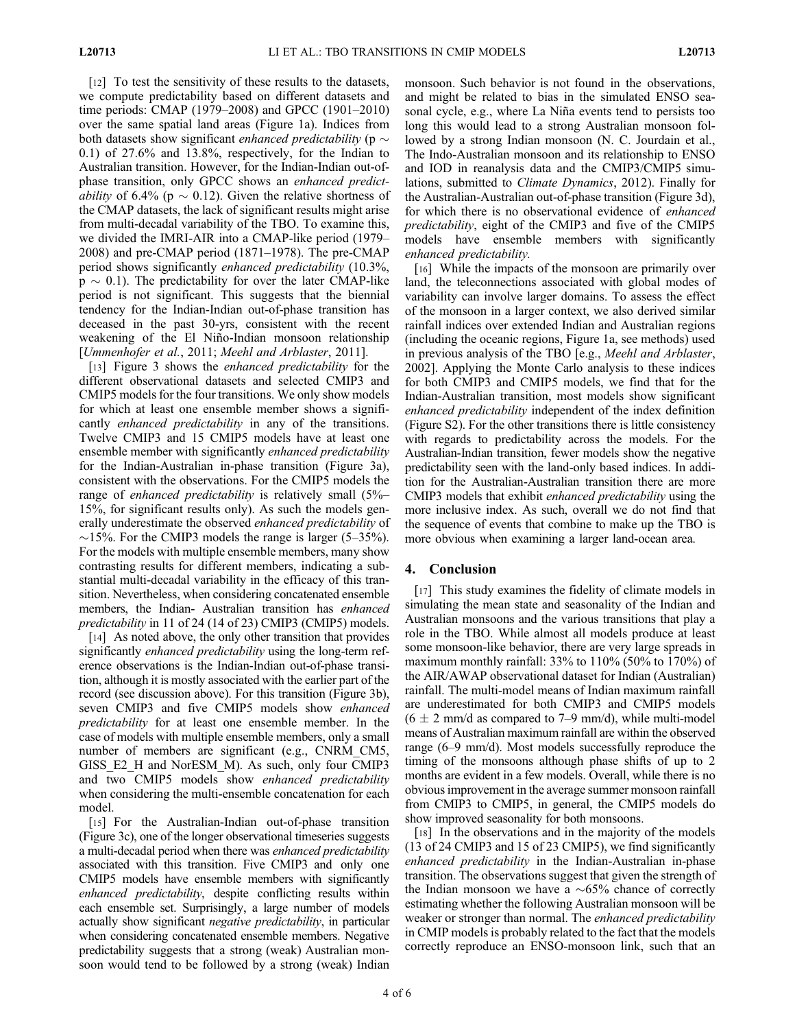[12] To test the sensitivity of these results to the datasets, we compute predictability based on different datasets and time periods: CMAP (1979–2008) and GPCC (1901–2010) over the same spatial land areas (Figure 1a). Indices from both datasets show significant *enhanced predictability* ( $p \sim$ 0.1) of 27.6% and 13.8%, respectively, for the Indian to Australian transition. However, for the Indian-Indian out-ofphase transition, only GPCC shows an enhanced predict*ability* of 6.4% ( $p \sim 0.12$ ). Given the relative shortness of the CMAP datasets, the lack of significant results might arise from multi-decadal variability of the TBO. To examine this, we divided the IMRI-AIR into a CMAP-like period (1979– 2008) and pre-CMAP period (1871–1978). The pre-CMAP period shows significantly enhanced predictability (10.3%,  $p \sim 0.1$ ). The predictability for over the later CMAP-like period is not significant. This suggests that the biennial tendency for the Indian-Indian out-of-phase transition has deceased in the past 30-yrs, consistent with the recent weakening of the El Niño-Indian monsoon relationship [Ummenhofer et al., 2011; Meehl and Arblaster, 2011].

[13] Figure 3 shows the *enhanced predictability* for the different observational datasets and selected CMIP3 and CMIP5 models for the four transitions. We only show models for which at least one ensemble member shows a significantly *enhanced predictability* in any of the transitions. Twelve CMIP3 and 15 CMIP5 models have at least one ensemble member with significantly *enhanced predictability* for the Indian-Australian in-phase transition (Figure 3a), consistent with the observations. For the CMIP5 models the range of *enhanced predictability* is relatively small (5%– 15%, for significant results only). As such the models generally underestimate the observed *enhanced predictability* of  $\sim$ 15%. For the CMIP3 models the range is larger (5–35%). For the models with multiple ensemble members, many show contrasting results for different members, indicating a substantial multi-decadal variability in the efficacy of this transition. Nevertheless, when considering concatenated ensemble members, the Indian- Australian transition has enhanced predictability in 11 of 24 (14 of 23) CMIP3 (CMIP5) models.

[14] As noted above, the only other transition that provides significantly *enhanced predictability* using the long-term reference observations is the Indian-Indian out-of-phase transition, although it is mostly associated with the earlier part of the record (see discussion above). For this transition (Figure 3b), seven CMIP3 and five CMIP5 models show enhanced predictability for at least one ensemble member. In the case of models with multiple ensemble members, only a small number of members are significant (e.g., CNRM\_CM5, GISS\_E2\_H and NorESM\_M). As such, only four CMIP3 and two CMIP5 models show enhanced predictability when considering the multi-ensemble concatenation for each model.

[15] For the Australian-Indian out-of-phase transition (Figure 3c), one of the longer observational timeseries suggests a multi-decadal period when there was enhanced predictability associated with this transition. Five CMIP3 and only one CMIP5 models have ensemble members with significantly enhanced predictability, despite conflicting results within each ensemble set. Surprisingly, a large number of models actually show significant negative predictability, in particular when considering concatenated ensemble members. Negative predictability suggests that a strong (weak) Australian monsoon would tend to be followed by a strong (weak) Indian

monsoon. Such behavior is not found in the observations, and might be related to bias in the simulated ENSO seasonal cycle, e.g., where La Niña events tend to persists too long this would lead to a strong Australian monsoon followed by a strong Indian monsoon (N. C. Jourdain et al., The Indo-Australian monsoon and its relationship to ENSO and IOD in reanalysis data and the CMIP3/CMIP5 simulations, submitted to Climate Dynamics, 2012). Finally for the Australian-Australian out-of-phase transition (Figure 3d), for which there is no observational evidence of enhanced predictability, eight of the CMIP3 and five of the CMIP5 models have ensemble members with significantly enhanced predictability.

[16] While the impacts of the monsoon are primarily over land, the teleconnections associated with global modes of variability can involve larger domains. To assess the effect of the monsoon in a larger context, we also derived similar rainfall indices over extended Indian and Australian regions (including the oceanic regions, Figure 1a, see methods) used in previous analysis of the TBO [e.g., Meehl and Arblaster, 2002]. Applying the Monte Carlo analysis to these indices for both CMIP3 and CMIP5 models, we find that for the Indian-Australian transition, most models show significant enhanced predictability independent of the index definition (Figure S2). For the other transitions there is little consistency with regards to predictability across the models. For the Australian-Indian transition, fewer models show the negative predictability seen with the land-only based indices. In addition for the Australian-Australian transition there are more CMIP3 models that exhibit enhanced predictability using the more inclusive index. As such, overall we do not find that the sequence of events that combine to make up the TBO is more obvious when examining a larger land-ocean area.

# 4. Conclusion

[17] This study examines the fidelity of climate models in simulating the mean state and seasonality of the Indian and Australian monsoons and the various transitions that play a role in the TBO. While almost all models produce at least some monsoon-like behavior, there are very large spreads in maximum monthly rainfall:  $33\%$  to  $110\%$  (50% to  $170\%$ ) of the AIR/AWAP observational dataset for Indian (Australian) rainfall. The multi-model means of Indian maximum rainfall are underestimated for both CMIP3 and CMIP5 models  $(6 \pm 2 \text{ mm/d} \text{ as compared to } 7-9 \text{ mm/d})$ , while multi-model means of Australian maximum rainfall are within the observed range (6–9 mm/d). Most models successfully reproduce the timing of the monsoons although phase shifts of up to 2 months are evident in a few models. Overall, while there is no obvious improvement in the average summer monsoon rainfall from CMIP3 to CMIP5, in general, the CMIP5 models do show improved seasonality for both monsoons.

[18] In the observations and in the majority of the models (13 of 24 CMIP3 and 15 of 23 CMIP5), we find significantly enhanced predictability in the Indian-Australian in-phase transition. The observations suggest that given the strength of the Indian monsoon we have a  $\sim 65\%$  chance of correctly estimating whether the following Australian monsoon will be weaker or stronger than normal. The *enhanced predictability* in CMIP models is probably related to the fact that the models correctly reproduce an ENSO-monsoon link, such that an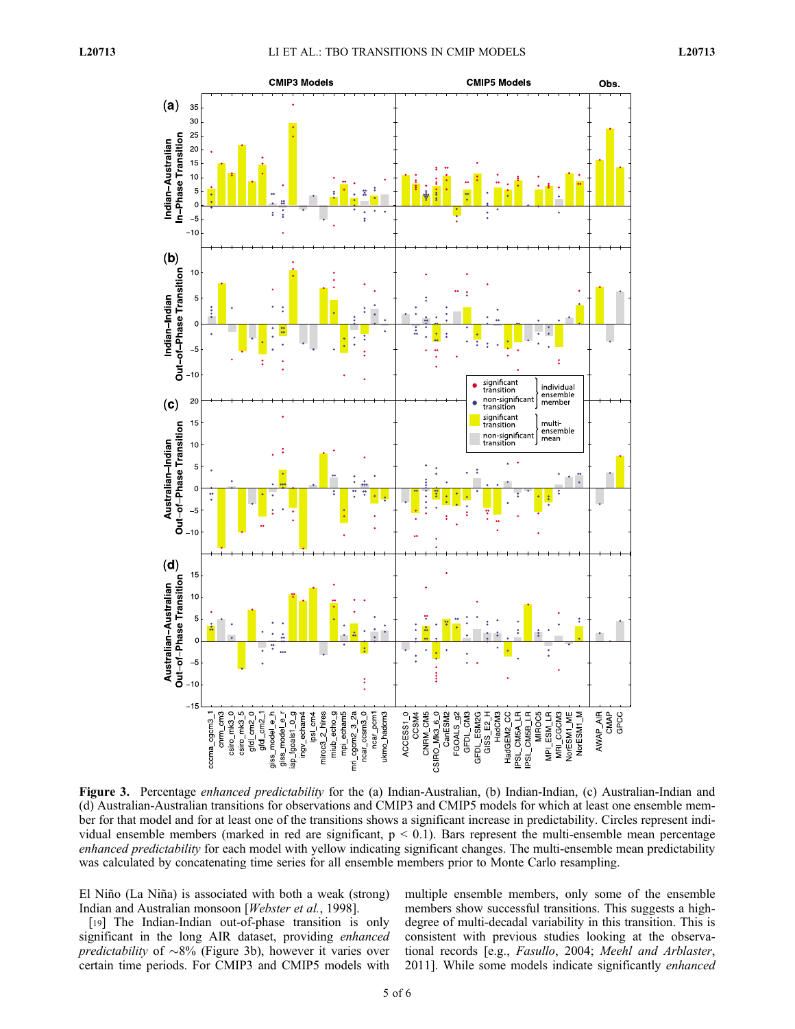

Figure 3. Percentage *enhanced predictability* for the (a) Indian-Australian, (b) Indian-Indian, (c) Australian-Indian and (d) Australian-Australian transitions for observations and CMIP3 and CMIP5 models for which at least one ensemble member for that model and for at least one of the transitions shows a significant increase in predictability. Circles represent individual ensemble members (marked in red are significant,  $p < 0.1$ ). Bars represent the multi-ensemble mean percentage enhanced predictability for each model with yellow indicating significant changes. The multi-ensemble mean predictability was calculated by concatenating time series for all ensemble members prior to Monte Carlo resampling.

El Niño (La Niña) is associated with both a weak (strong) Indian and Australian monsoon [Webster et al., 1998].

[19] The Indian-Indian out-of-phase transition is only significant in the long AIR dataset, providing enhanced *predictability* of  $\sim 8\%$  (Figure 3b), however it varies over certain time periods. For CMIP3 and CMIP5 models with

multiple ensemble members, only some of the ensemble members show successful transitions. This suggests a highdegree of multi-decadal variability in this transition. This is consistent with previous studies looking at the observational records [e.g., Fasullo, 2004; Meehl and Arblaster, 2011]. While some models indicate significantly enhanced